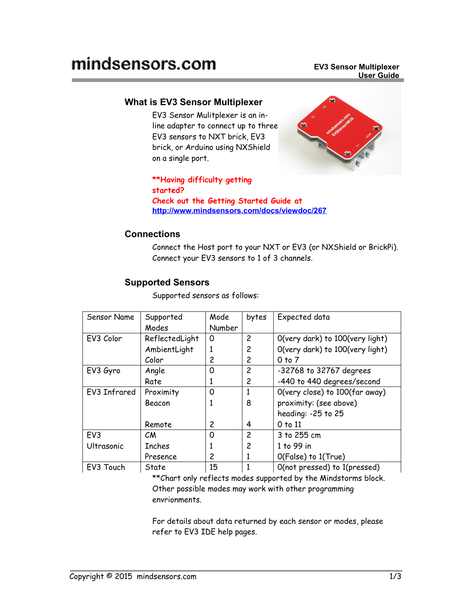### **What is EV3 Sensor Multiplexer**

EV3 Sensor Mulitplexer is an inline adapter to connect up to three EV3 sensors to NXT brick, EV3 brick, or Arduino using NXShield on a single port.



**\*\*Having difficulty getting started? Check out the Getting Started Guide at <http://www.mindsensors.com/docs/viewdoc/267>**

## **Connections**

Connect the Host port to your NXT or EV3 (or NXShield or BrickPi). Connect your EV3 sensors to 1 of 3 channels.

## **Supported Sensors**

Supported sensors as follows:

| Sensor Name     | Supported<br>Modes | Mode<br>Number | bytes          | Expected data                   |
|-----------------|--------------------|----------------|----------------|---------------------------------|
| EV3 Color       | ReflectedLight     | 0              | $\overline{c}$ | O(very dark) to 100(very light) |
|                 | AmbientLight       | 1              | 2              | O(very dark) to 100(very light) |
|                 | Color              | 2              | 2              | $0$ to $7$                      |
|                 |                    |                | 2              |                                 |
| EV3 Gyro        | Angle              | 0              |                | -32768 to 32767 degrees         |
|                 | Rate               | 1              | 2              | -440 to 440 degrees/second      |
| EV3 Infrared    | Proximity          | 0              |                | O(very close) to 100(far away)  |
|                 | Beacon             | 1              | 8              | proximity: (see above)          |
|                 |                    |                |                | heading: -25 to 25              |
|                 | Remote             | 2              | 4              | $0$ to $11$                     |
| EV <sub>3</sub> | <b>CM</b>          | 0              | $\overline{c}$ | 3 to 255 cm                     |
| Ultrasonic      | <b>Inches</b>      | 1              | 2              | 1 to 99 in                      |
|                 | Presence           | 2              | 1              | O(False) to 1(True)             |
| EV3 Touch       | State              | 15             |                | O(not pressed) to 1(pressed)    |

\*\*Chart only reflects modes supported by the Mindstorms block. Other possible modes may work with other programming envrionments.

For details about data returned by each sensor or modes, please refer to EV3 IDE help pages.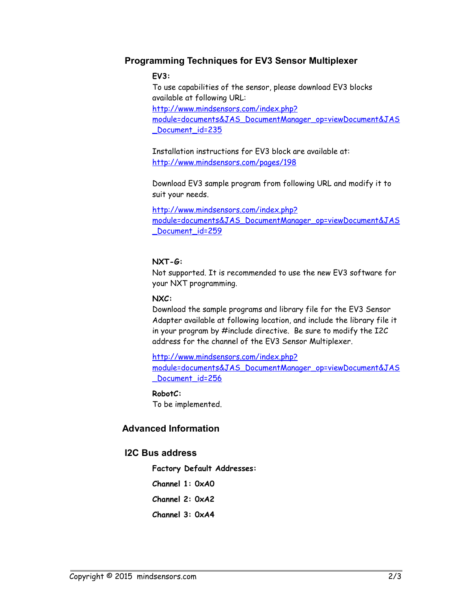#### **Programming Techniques for EV3 Sensor Multiplexer**

#### **EV3:**

To use capabilities of the sensor, please download EV3 blocks available at following URL: [http://www.mindsensors.com/index.php?](http://www.mindsensors.com/index.php?module=documents&JAS_DocumentManager_op=viewDocument&JAS_Document_id=235) [module=documents&JAS\\_DocumentManager\\_op=viewDocument&JAS](http://www.mindsensors.com/index.php?module=documents&JAS_DocumentManager_op=viewDocument&JAS_Document_id=235) Document id=235

Installation instructions for EV3 block are available at: <http://www.mindsensors.com/pages/198>

Download EV3 sample program from following URL and modify it to suit your needs.

[http://www.mindsensors.com/index.php?](http://www.mindsensors.com/index.php?module=documents&JAS_DocumentManager_op=viewDocument&JAS_Document_id=259) [module=documents&JAS\\_DocumentManager\\_op=viewDocument&JAS](http://www.mindsensors.com/index.php?module=documents&JAS_DocumentManager_op=viewDocument&JAS_Document_id=259) Document id=259

#### **NXT-G:**

Not supported. It is recommended to use the new EV3 software for your NXT programming.

#### **NXC:**

Download the sample programs and library file for the EV3 Sensor Adapter available at following location, and include the library file it in your program by #include directive. Be sure to modify the I2C address for the channel of the EV3 Sensor Multiplexer.

[http://www.mindsensors.com/index.php?](http://www.mindsensors.com/index.php?module=documents&JAS_DocumentManager_op=viewDocument&JAS_Document_id=256) [module=documents&JAS\\_DocumentManager\\_op=viewDocument&JAS](http://www.mindsensors.com/index.php?module=documents&JAS_DocumentManager_op=viewDocument&JAS_Document_id=256) Document id=256

## **RobotC:**

To be implemented.

## **Advanced Information**

#### **I2C Bus address**

**Factory Default Addresses:**

**Channel 1: 0xA0**

**Channel 2: 0xA2**

**Channel 3: 0xA4**